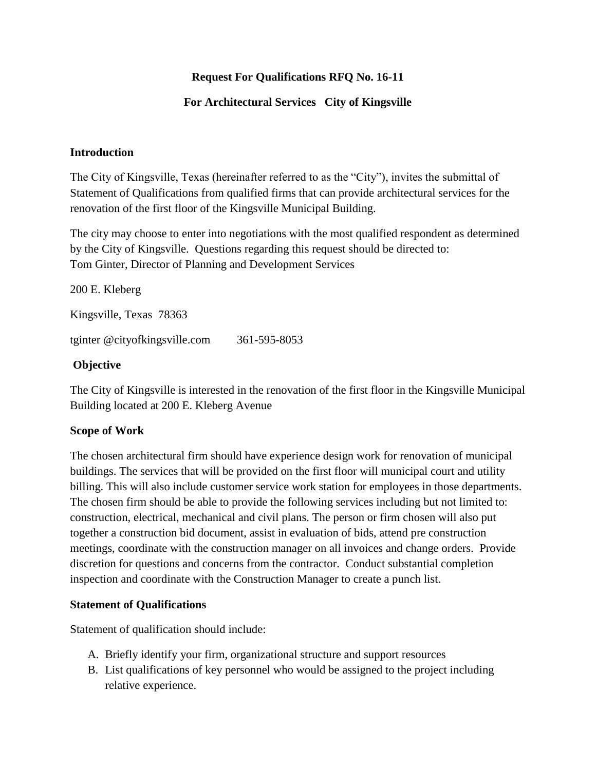# **Request For Qualifications RFQ No. 16-11**

## **For Architectural Services City of Kingsville**

#### **Introduction**

The City of Kingsville, Texas (hereinafter referred to as the "City"), invites the submittal of Statement of Qualifications from qualified firms that can provide architectural services for the renovation of the first floor of the Kingsville Municipal Building.

The city may choose to enter into negotiations with the most qualified respondent as determined by the City of Kingsville. Questions regarding this request should be directed to: Tom Ginter, Director of Planning and Development Services

200 E. Kleberg

Kingsville, Texas 78363

tginter @cityofkingsville.com 361-595-8053

#### **Objective**

The City of Kingsville is interested in the renovation of the first floor in the Kingsville Municipal Building located at 200 E. Kleberg Avenue

#### **Scope of Work**

The chosen architectural firm should have experience design work for renovation of municipal buildings. The services that will be provided on the first floor will municipal court and utility billing. This will also include customer service work station for employees in those departments. The chosen firm should be able to provide the following services including but not limited to: construction, electrical, mechanical and civil plans. The person or firm chosen will also put together a construction bid document, assist in evaluation of bids, attend pre construction meetings, coordinate with the construction manager on all invoices and change orders. Provide discretion for questions and concerns from the contractor. Conduct substantial completion inspection and coordinate with the Construction Manager to create a punch list.

#### **Statement of Qualifications**

Statement of qualification should include:

- A. Briefly identify your firm, organizational structure and support resources
- B. List qualifications of key personnel who would be assigned to the project including relative experience.